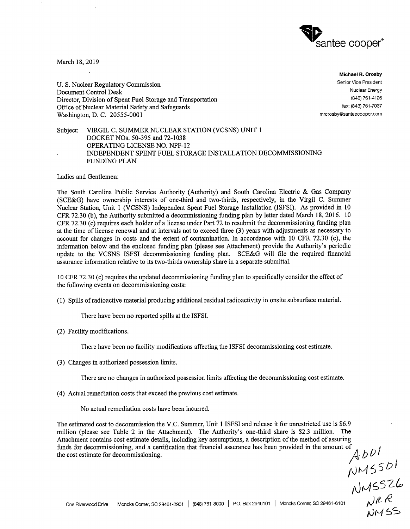

March 18, 2019

U. S. Nuclear Regulatory Commission Document Control Desk Director, Division of Spent Fuel Storage and Transportation Office of Nuclear Material Safety and Safeguards Washington, D. C. 20555-0001

**Michael R. Crosby**  Senior Vice President Nuclear Energy (843) 761-4126 fax: (843) 761-7037 mrcrosby@santeecooper.com

Subject: VIRGIL C. SUMMER NUCLEAR STATION (VCSNS) UNIT 1 DOCKET NOs. 50-395 and 72-1038 OPERATING LICENSE NO. NPF-12 INDEPENDENT SPENT FUEL STORAGE INSTALLATION DECOMMISSIONING FUNDING PLAN

Ladies and Gentlemen:

The South Carolina Public Service Authority (Authority) and South Carolina Electric & Gas Company (SCE&G) have ownership interests of one-third and two-thirds, respectively, in the Virgil C. Summer Nuclear Station, Unit 1 (VCSNS) Independent Spent Fuel Storage Installation (ISFSI). As provided in 10 CFR 72.30 (b), the Authority submitted a decommissioning funding plan by letter dated March 18, 2016. 10 CFR 72.30 (c) requires each holder of a license under Part 72 to resubmit the decommissioning funding plan at the time of license renewal and at intervals not to exceed three (3) years with adjustments as necessary to account for changes in costs and the extent of contamination. In accordance with 10 CFR 72.30 (c), the information below and the enclosed funding plan (please see Attachment) provide the Authority's periodic update to the VCSNS ISFSI decommissioning funding plan. SCE&G will file the required financial assurance information relative to its two-thirds ownership share in a separate submittal.

10 CFR 72.30 (c) requires the updated decommissioning funding plan to specifically consider the effect of the following events on decommissioning costs:

(1) Spills ofradioactive material producing additional residual radioactivity in onsite subsurface material.

There have been no reported spills at the ISFSI.

(2) Facility modifications.

There have been no facility modifications affecting the ISFSI decommissioning cost estimate.

(3) Changes in authorized possession limits.

There are no changes in authorized possession limits affecting the decommissioning cost estimate.

(4) Actual remediation costs that exceed the previous cost estimate.

No actual remediation costs have been incurred.

The estimated cost to decommission the V.C. Summer, Unit 1 ISFSI and release it for unrestricted use is \$6.9 million (please see Table 2 in the Attachment). The Authority's one-third share is \$2.3 million. The Attachment contains cost estimate details, including key assumptions, a description of the method of assuring funds for decommissioning, and a certification that financial assurance has been provided in the amount of  $\overline{AB}$ 

 $A$ UUSSDI tJ ,vi~ s *-z.i'°*   $NMS$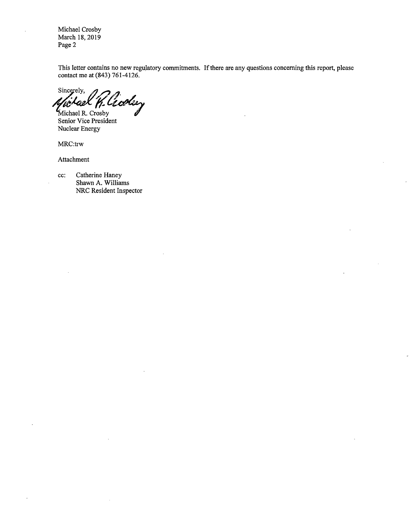Michael Crosby March 18, 2019 Page 2

This letter contains no new regulatory commitments. If there are any questions concerning this report, please contact me at (843) 761-4126.

Sincerely, *J. Cicolary* 

Michael R. Crosby Senior Vice President Nuclear Energy

MRC:trw

Attachment

cc: Catherine Haney Shawn A. Williams NRC Resident Inspector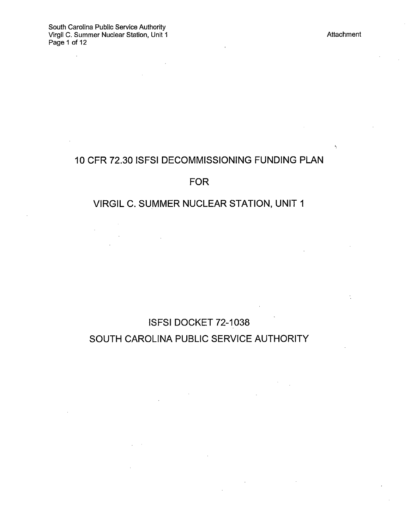$\ddot{\phantom{a}}$ 

 $\epsilon_{\rm i}$ 

 $\dot{\gamma}$ 

# 10 CFR 72.30 ISFSI DECOMMISSIONING FUNDING PLAN

# FOR

# VIRGIL C. SUMMER NUCLEAR STATION, UNIT 1

ISFSI DOCKET 72-1038 SOUTH CAROLINA PUBLIC SERVICE AUTHORITY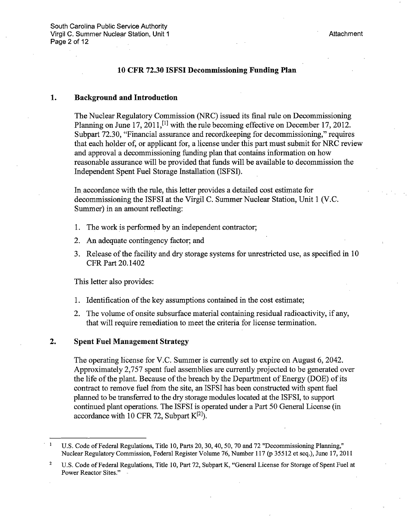#### **10 CFR 72.30 ISFSI Decommissioning Funding Plan**

#### **1. Background and Introduction**

The Nuclear Regulatory Commission (NRC) issued its final rule on Decommissioning Planning on June 17, 2011,<sup>[1]</sup> with the rule becoming effective on December 17, 2012. Subpart 72.30, "Financial assurance and recordkeeping for decommissioning," requires that each holder of, or applicant for, a license under this part must submit for NRC review and approval a decommissioning funding plan that contains information on how reasonable assurance will be provided that funds will be available to decommission the Independent Spent Fuel Storage Installation (ISFSI).

In accordance with the rule, this letter provides a detailed cost estimate for decommissioning the ISFSI at the Virgil C. Summer Nuclear Station, Unit 1 (V.C. Summer) in an amount reflecting:

- 1. The work is performed by an independent contractor;
- 2. An adequate contingency factor; and
- 3. Release of the facility and dry storage systems for unrestricted use, as specified in 10 CFR Part 20.1402

This letter also provides:

- 1. Identification of the key assumptions contained in the cost estimate;
- 2. The volume of onsite subsurface material containing residual radioactivity, if any, that will require remediation to meet the criteria for license termination.

### **2. Spent Fuel Management Strategy**

The operating license for V.C. Summer is currently set to expire on August 6, 2042. Approximately 2,757 spent fuel assemblies are currently projected to be generated over the life of the plant. Because of the breach by the Department of Energy (DOE) of its contract to remove fuel from the site, an ISFSI has been constructed with spent fuel planned to be transferred to the dry storage modules located at the ISFSI, to support continued plant operations. The ISFSI is operated under a Part 50 General License (in accordance with 10 CFR 72, Subpart  $K^{[2]}$ ).

 $\mathbf{1}$ U.S. Code of Federal Regulations, Title 10, Parts 20, 30, 40, 50, 70 and 72 "Decommissioning Planning," Nuclear Regulatory Commission, Federal Register Volume 76, Number 117 (p 35512 et seq.), June 17, 2011

<sup>2</sup>  U.S. Code of Federal Regulations, Title 10, Part 72, Subpart K, "General License for Storage of Spent Fuel at Power Reactor Sites."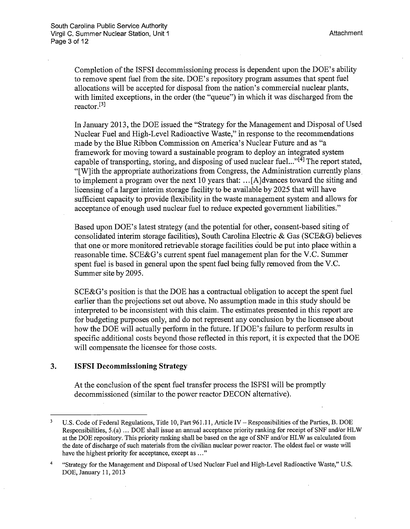Completion of the ISFSI decommissioning process is dependent upon the DOE's ability to remove spent fuel from the site. DOE's repository program assumes that spent fuel allocations will be accepted for disposal from the nation's commercial nuclear plants, with limited exceptions, in the order (the "queue") in which it was discharged from the reactor. $[3]$ 

In January 2013, the DOE issued the "Strategy for the Management and Disposal of Used Nuclear Fuel and High-Level Radioactive Waste," in response to the recommendations made by the Blue Ribbon Commission on America's Nuclear Future and as "a framework for moving toward a sustainable program to deploy an integrated system capable of transporting, storing, and disposing of used nuclear fuel..."<sup>[4]</sup> The report stated, "[W]ith the appropriate authorizations from Congress, the Administration currently plans. to implement a program over the next 10 years that: ... [ A ]dvances toward the siting and licensing of a larger interim storage facility to be available by 2025 that will have sufficient capacity to provide flexibility in the waste management system and allows for acceptance of enough used nuclear fuel to reduce expected government liabilities."

Based upon DOE's latest strategy (and the potential for other, consent-based siting of consolidated interim storage facilities), South Carolina Electric & Gas (SCE&G) believes that one or more monitored retrievable storage facilities could be pu<sup>t</sup>into place within a reasonable time. SCE&G's current spent fuel management plan for the V.C. Summer spent fuel is based in general upon the spent fuel being fully removed from the V.C. Summer site by 2095.

SCE&G's position is that the DOE has a contractual obligation to accept the spent fuel earlier than the projections set out above. No assumption made in this study should be interpreted to be inconsistent with this claim. The estimates presented in this report are for budgeting purposes only, and do not represent any conclusion by the licensee about how the DOE will actually perform in the future. If DOE's failure to perform results in specific additional costs beyond those reflected in this report, it is expected that the DOE will compensate the licensee for those costs.

### **3. ISFSI Decommissioning Strategy**

At the conclusion of the spent fuel transfer process the ISFSI will be promptly decommissioned (similar to the power reactor DECON alternative).

 $\overline{\mathbf{3}}$ U.S. Code of Federal Regulations, Title 10, Part 961.11, Article IV - Responsibilities of the Parties, B. DOE Responsibilities, 5.(a) ... DOE shall issue an annual acceptance priority ranking for receipt of SNF and/or HLW at the DOE repository. This priority ranking shall be based on the age of SNF and/or HLW as calculated from the date of discharge of such materials from the civilian nuclear power reactor. The oldest fuel or waste will have the highest priority for acceptance, except as ..."

<sup>4</sup>  "Strategy for the Management and Disposal of Used Nuclear Fuel and High-Level Radioactive Waste," U.S. DOE, January 11, 2013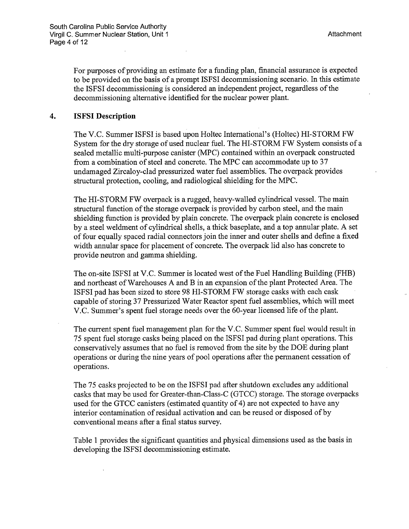For purposes of providing an estimate for a funding plan, financial assurance is expected to be provided on the basis of a prompt ISFSI decommissioning scenario. In this estimate the ISFSI decommissioning is considered an independent project, regardless of the decommissioning alternative identified for the nuclear power plant.

### **4. ISFSI Description**

The V.C. Summer ISFSI is based upon Holtec Intemational's (Holtec) HI-STORM FW System for the dry storage of used nuclear fuel. The HI-STORM FW System consists of <sup>a</sup> sealed metallic multi-purpose canister (MPC) contained within an overpack constructed from a combination of steel and concrete. The MPC can accommodate up to 37 undamaged Zircaloy-clad pressurized water fuel assemblies. The overpack provides structural protection, cooling, and radiological shielding for the MPC.

The HI-STORM FW overpack is a rugged, heavy-walled cylindrical vessel. The main structural function of the storage overpack is provided by carbon steel, and the main shielding function is provided by plain concrete. The overpack plain concrete is enclosed by a steel weldment of cylindrical shells, a thick baseplate, and a top annular plate. A set of four equally spaced radial connectors join the inner and outer shells and define a fixed width annular space for placement of concrete. The overpack lid also has concrete to provide neutron and gamma shielding.

The on-site ISFSI at V.C. Summer is located west of the Fuel Handling Building (FHB) and northeast of Warehouses A and Bin an expansion of the plant Protected Area. The ISFSI pad has been sized to store 98 HI-STORM FW storage casks with each cask capable of storing 37 Pressurized Water Reactor spent fuel assemblies, which will meet V.C. Summer's spent fuel storage needs over the 60-year licensed life of the plant.

The current spent fuel management plan for the V.C. Summer spent fuel would result in 75 spent fuel storage casks being placed on the ISFSI pad during plant operations. This conservatively assumes that no fuel is removed from the site by the DOE during plant operations or during the nine years of pool operations after the permanent cessation of operations.

The 75 casks projected to be on the ISFSI pad after shutdown excludes any additional casks that may be used for Greater-than-Class-C (GTCC) storage. The storage overpacks used for the GTCC canisters ( estimated quantity of 4) are not expected to have any interior contamination of residual activation and can be reused or disposed of by conventional means after a final status survey.

Table 1 provides the significant quantities and physical dimensions used as the basis in developing the ISFSI decommissioning estimate.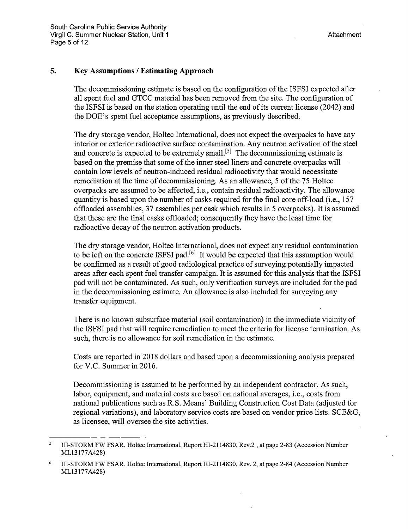### **5. Key Assumptions / Estimating Approach**

The decommissioning estimate is based on the configuration of the ISFSI expected after all spent fuel and GTCC material has been removed from the site. The configuration of the ISFSI is based on the station operating until the end of its current license (2042) and the DOE's spent fuel acceptance assumptions, as previously described.

The dry storage vendor, Holtec International, does not expect the overpacks to have any interior or exterior radioactive surface contamination. Any neutron activation of the steel and concrete is expected to be extremely small.<sup>[5]</sup> The decommissioning estimate is based on the premise that some of the inner steel liners and concrete overpacks will contain low levels of neutron-induced residual radioactivity that would necessitate remediation at the time of decommissioning. As an allowance, 5 of the 75 Holtec overpacks are assumed to be affected, i.e., contain residual radioactivity. The allowance quantity is based upon the number of casks required for the final core off-load (i.e., 157 offloaded assemblies, 37 assemblies per cask which results in 5 overpacks). It is assumed that these are the final casks offloaded; consequently they have the least time for radioactive decay of the neutron activation products.

The dry storage vendor, Holtec International, does not expect any residual contamination to be left on the concrete ISFSI pad.<sup>[6]</sup> It would be expected that this assumption would be confirmed as a result of good radiological practice of surveying potentially impacted areas after each spent fuel transfer campaign. It is assumed for this analysis that the ISFSI pad will not be contaminated. As such, only verification surveys are included for the pad in the decommissioning estimate. An allowance is also included for surveying any transfer equipment.

There is no known subsurface material (soil contamination) in the immediate vicinity of the ISFSI pad that will require remediation to meet the criteria for license termination. As such, there is no allowance for soil remediation in the estimate.

Costs are reported in 2018 dollars and based upon a decommissioning analysis prepared for V.C. Summer in 2016.

Decommissioning is assumed to be performed by an independent contractor. As such, labor, equipment, and material costs are based on national averages, i.e., costs from national publications such as R.S. Means' Building Construction Cost Data (adjusted for regional variations), and laboratory service costs are based on vendor price lists. SCE&G, as licensee, will oversee the site activities.

<sup>5</sup> HI-STORM FW FSAR, Holtec International, Report HI-2114830, Rev.2, at page 2-83 (Accession Number ML13177A428)

<sup>6</sup>  HI-STORM FW FSAR, Holtec International, Report HI-2114830, Rev. 2, at page 2-84 (Accession Number ML13177A428)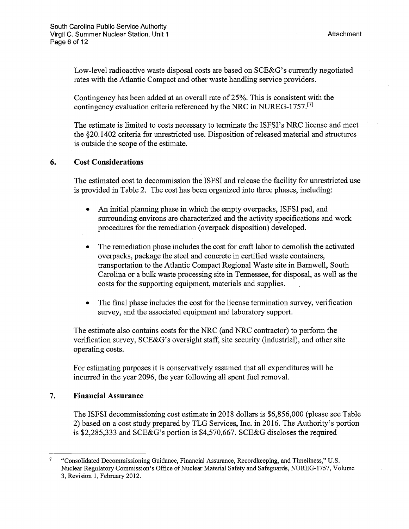Low-level radioactive waste disposal costs are based on SCE&G's currently negotiated rates with the Atlantic Compact and other waste handling service providers.

Contingency has been added at an overall rate of 25%. This is consistent with the contingency evaluation criteria referenced by the NRC in NUREG-1757.<sup>[7]</sup>

The estimate is limited to costs necessary to terminate the ISFSI's NRC license and meet the §20.1402 criteria for unrestricted use. Disposition of released material and structures is outside the scope of the estimate.

### **6. Cost Considerations**

The estimated cost to decommission the ISFSI and release the facility for unrestricted use is provided in Table 2. The cost has been organized into three phases, including:

- An initial planning phase in which the empty overpacks, ISFSI pad, and surrounding environs are characterized and the activity specifications and work procedures for the remediation ( overpack disposition) developed.
- The remediation phase includes the cost for craft labor to demolish the activated overpacks, package the steel and concrete in certified waste containers, transportation to the Atlantic Compact Regional Waste site in Barnwell, South Carolina or a bulk waste processing site in Tennessee, for disposal, as well as the costs for the supporting equipment, materials and supplies.
- The final phase includes the cost for the license termination survey, verification survey, and the associated equipment and laboratory support.

The estimate also contains costs for the NRC (and NRC contractor) to perform the verification survey, SCE&G's oversight staff, site security (industrial), and other site operating costs.

For estimating purposes it is conservatively assumed that all expenditures will be incurred in the year 2096, the year following all spent fuel removal.

### **7. Financial Assurance**

The ISFSI decommissioning cost estimate in 2018 dollars is \$6,856,000 (please see Table 2) based on a cost study prepared by TLG Services, Inc. in 2016. The Authority's portion is \$2,285,333 and SCE&G's portion is \$4,570,667. SCE&G discloses the required

<sup>7</sup>  "Consolidated Decommissioning Guidance, Financial Assurance, Recordkeeping, and Timeliness," U.S. Nuclear Regulatory Commission's Office of Nuclear Material Safety and Safeguards, NUREG-1757, Volume 3, Revision 1, February 2012.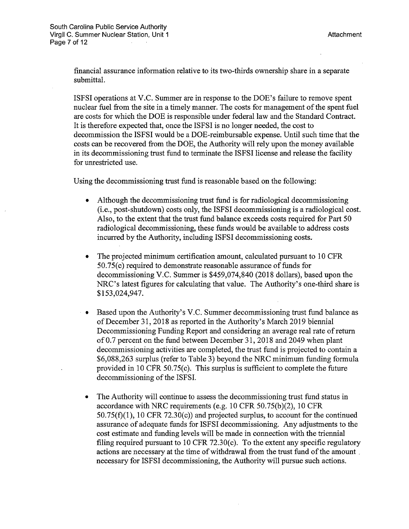financial assurance information relative to its two-thirds ownership share in a separate submittal.

ISFSI operations at V.C. Summer are in response to the DOE's failure to remove spent nuclear fuel from the site in a timely manner. The costs for management of the spent fuel are costs for which the DOE is responsible under federal law and the Standard Contract. It is therefore expected that, once the ISFSI is no longer needed, the cost to decommission the ISFSI would be a DOE-reimbursable expense. Until such time that the costs can be recovered from the DOE, the Authority will rely upon the money available in its decommissioning trust fund to terminate the ISFSI license and release the facility for unrestricted use.

Using the decommissioning trust fund is reasonable based on the following:

- Although the decommissioning trust fund is for radiological decommissioning (i.e., post-shutdown) costs only, the ISFSI decommissioning is a radiological cost. Also, to the extent that the trust fund balance exceeds costs required for Part 50 radiological decommissioning, these funds would be available to address costs incurred by the Authority, including ISFSI decommissioning costs.
- The projected minimum certification amount, calculated pursuant to 10 CFR 50. 75( c) required to demonstrate reasonable assurance of funds for decommissioning V.C. Summer is \$459,074,840 (2018 dollars), based upon the NRC's latest figures for calculating that value. The Authority's one-third share is \$153,024,947.
- Based upon the Authority's V.C. Summer decommissioning trust fund balance as of December 31, 2018 as reported in the Authority's March 2019 biennial Decommissioning Funding Report and considering an average real rate of return of 0.7 percent on the fund between December 31, 2018 and 2049 when plant decommissioning activities are completed, the trust fund is projected to contain a \$6,088,263 surplus (refer to Table 3) beyond the NRC minimum funding formula provided in 10 CFR 50.75(c). This surplus is sufficient to complete the future decommissioning of the ISFSI.
- The Authority will continue to assess the decommissioning trust fund status in accordance with NRC requirements (e.g. 10 CFR 50.75(b)(2), 10 CFR  $50.75(f)(1)$ , 10 CFR 72.30(c)) and projected surplus, to account for the continued assurance of adequate funds for ISFSI decommissioning. Any adjustments to the cost estimate and funding levels will be made in connection with the triennial filing required pursuant to 10 CFR 72.30(c). To the extent any specific regulatory actions are necessary at the time of withdrawal from the trust fund of the amount . necessary for ISFSI decommissioning, the Authority will pursue such actions.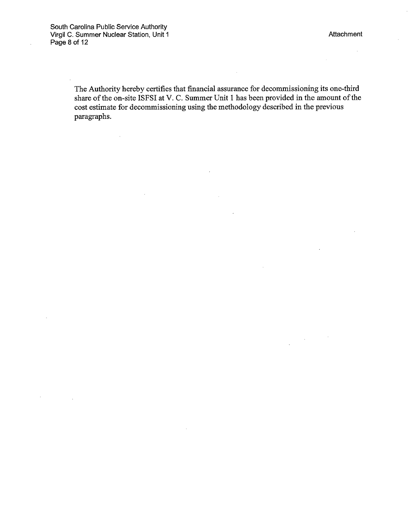$\sim$ 

 $\sim$ 

 $\bar{z}$ 

The Authority hereby certifies that financial assurance for decommissioning its one-third share of the on-site ISFSI at V. C. Summer Unit 1 has been provided in the amount of the cost estimate for decommissioning using the methodology described in the previous paragraphs.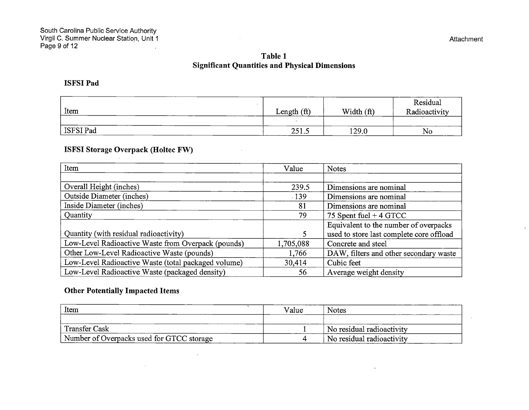$\bar{1}$ 

# **Table 1 Significant Quantities and Physical Dimensions**

## **ISFSI Pad**

| Item      | (f <sup>t</sup> )<br>Length | Width<br>(f <sup>t</sup> ) | Residual<br>Radioactivity |
|-----------|-----------------------------|----------------------------|---------------------------|
|           |                             |                            |                           |
| ISFSI Pad | 251.5                       | 129.0                      | No                        |

 $\bar{\alpha}$ 

 $\bar{\alpha}$ 

# **ISFSI Storage Overpack (Holtec FW)**

| Item                                                | Value     | <b>Notes</b>                             |
|-----------------------------------------------------|-----------|------------------------------------------|
|                                                     |           |                                          |
| Overall Height (inches)                             | 239.5     | Dimensions are nominal                   |
| <b>Outside Diameter (inches)</b>                    | .139      | Dimensions are nominal                   |
| Inside Diameter (inches)                            | 81        | Dimensions are nominal                   |
| Quantity                                            | 79        | 75 Spent fuel $+4$ GTCC                  |
|                                                     |           | Equivalent to the number of overpacks    |
| Quantity (with residual radioactivity)              |           | used to store last complete core offload |
| Low-Level Radioactive Waste from Overpack (pounds)  | 1,705,088 | Concrete and steel                       |
| Other Low-Level Radioactive Waste (pounds)          | 1,766     | DAW, filters and other secondary waste   |
| Low-Level Radioactive Waste (total packaged volume) | 30,414    | Cubic feet                               |
| Low-Level Radioactive Waste (packaged density)      | 56        | Average weight density                   |

## **Other Potentially Impacted Items**

 $\sim$ 

| Item                                      | Value | <b>Notes</b>              |
|-------------------------------------------|-------|---------------------------|
|                                           |       |                           |
| Transfer Cask                             |       | No residual radioactivity |
| Number of Overpacks used for GTCC storage |       | No residual radioactivity |

 $\alpha$ 

 $\sim$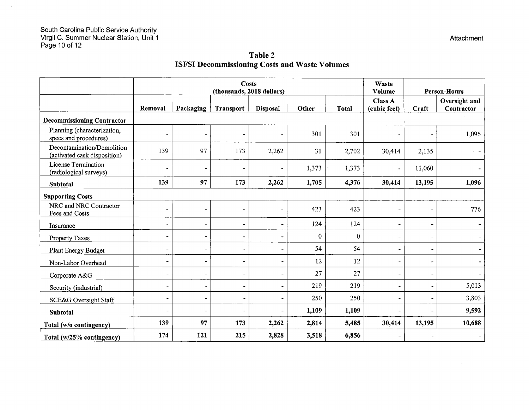$\overline{a}$ 

|                                                            | <b>Costs</b><br>(thousands, 2018 dollars) |                          |                          | Waste<br>Volume<br><b>Person-Hours</b> |              |              |                                |                          |                             |
|------------------------------------------------------------|-------------------------------------------|--------------------------|--------------------------|----------------------------------------|--------------|--------------|--------------------------------|--------------------------|-----------------------------|
|                                                            | Removal                                   | Packaging                | <b>Transport</b>         | <b>Disposal</b>                        | Other        | <b>Total</b> | <b>Class A</b><br>(cubic feet) | Craft                    | Oversight and<br>Contractor |
| <b>Decommissioning Contractor</b>                          |                                           |                          |                          |                                        |              |              |                                |                          |                             |
| Planning (characterization,<br>specs and procedures)       |                                           |                          |                          |                                        | 301          | 301          | $\overline{\phantom{a}}$       |                          | 1,096                       |
| Decontamination/Demolition<br>(activated cask disposition) | 139                                       | 97                       | 173                      | 2,262                                  | 31           | 2,702        | 30,414                         | 2,135                    |                             |
| License Termination<br>(radiological surveys)              |                                           |                          | $\overline{\phantom{a}}$ |                                        | 1,373        | 1,373        | $\qquad \qquad \blacksquare$   | 11,060                   |                             |
| Subtotal                                                   | 139                                       | 97                       | 173                      | 2,262                                  | 1,705        | 4,376        | 30,414                         | 13,195                   | 1,096                       |
| <b>Supporting Costs</b>                                    |                                           |                          |                          |                                        |              |              |                                |                          |                             |
| NRC and NRC Contractor<br>Fees and Costs                   | $\blacksquare$                            |                          | $\blacksquare$           | $\rightarrow$                          | 423          | 423          | $\qquad \qquad \blacksquare$   | $\blacksquare$           | 776                         |
| Insurance                                                  | $\overline{\phantom{a}}$                  |                          | $\blacksquare$           | ÷.                                     | 124          | 124          | $\overline{\phantom{0}}$       | $\overline{\phantom{a}}$ |                             |
| Property Taxes                                             | $\blacksquare$                            | $\overline{\phantom{0}}$ | $\overline{\phantom{a}}$ | $\qquad \qquad \blacksquare$           | $\mathbf{0}$ | $\Omega$     | $\overline{\phantom{a}}$       | $\overline{\phantom{a}}$ |                             |
| Plant Energy Budget                                        | $\tilde{\phantom{a}}$                     | ä,                       | $\overline{\phantom{a}}$ | $\qquad \qquad \blacksquare$           | 54           | 54           | $\overline{\phantom{0}}$       | $\blacksquare$           |                             |
| Non-Labor Overhead                                         | $\blacksquare$                            | $\overline{\phantom{a}}$ | $\overline{\phantom{a}}$ | $\overline{\phantom{0}}$               | 12           | 12           |                                | $\overline{\phantom{a}}$ |                             |
| Corporate A&G                                              | $\blacksquare$                            | $\overline{\phantom{a}}$ | $\blacksquare$           | ۰                                      | 27           | 27           |                                | $\blacksquare$           |                             |
| Security (industrial)                                      | $\overline{a}$                            | $\rightarrow$            | $\overline{\phantom{a}}$ |                                        | 219          | 219          |                                | $\overline{a}$           | 5,013                       |
| SCE&G Oversight Staff                                      | $\blacksquare$                            | $\blacksquare$           | $\blacksquare$           |                                        | 250          | 250          | $\overline{a}$                 | $\blacksquare$           | 3,803                       |
| Subtotal                                                   | $\tilde{\phantom{a}}$                     | $\overline{\phantom{a}}$ | $\overline{\phantom{a}}$ |                                        | 1,109        | 1,109        |                                |                          | 9,592                       |
| Total (w/o contingency)                                    | 139                                       | 97                       | 173                      | 2,262                                  | 2,814        | 5,485        | 30,414                         | 13,195                   | 10,688                      |
| Total (w/25% contingency)                                  | 174                                       | 121                      | 215                      | 2,828                                  | 3,518        | 6,856        |                                | $\qquad \qquad$          |                             |

 $\alpha$ 

# **Table 2 ISFSI Decommissioning Costs and Waste Volumes**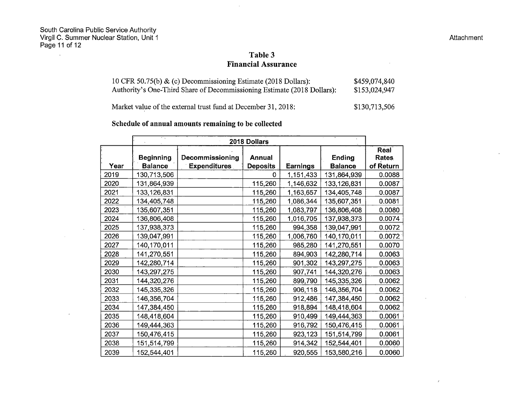$\sim 10$ 

 $\sim 10^{-1}$ 

 $\mathcal{L}$ 

 $\sim$ 

#### Attachment

 $\mathcal{A}^{\mathcal{A}}$ 

 $\mathcal{L}_{\mathcal{A}}$ 

 $\mathcal{L}$ 

 $\sim 10^7$ 

### **Table 3 Financial Assurance**

| 10 CFR 50.75(b) $\&$ (c) Decommissioning Estimate (2018 Dollars):       | \$459,074,840 |
|-------------------------------------------------------------------------|---------------|
| Authority's One-Third Share of Decommissioning Estimate (2018 Dollars): | \$153,024,947 |

Market value of the external trust fund at December 31, 2018: \$130,713,506

## **Schedule of annual amounts remaining to be collected**

|      | т,<br>2018 Dollars |                        |                 |           |                |                      |  |
|------|--------------------|------------------------|-----------------|-----------|----------------|----------------------|--|
|      | <b>Beginning</b>   | <b>Decommissioning</b> | <b>Annual</b>   |           | Ending         | Real<br><b>Rates</b> |  |
| Year | <b>Balance</b>     | <b>Expenditures</b>    | <b>Deposits</b> | Earnings  | <b>Balance</b> | of Return            |  |
| 2019 | 130,713,506        |                        | 0               | 1,151,433 | 131,864,939    | 0.0088               |  |
| 2020 | 131,864,939        |                        | 115,260         | 1,146,632 | 133,126,831    | 0.0087               |  |
| 2021 | 133,126,831        |                        | 115,260         | 1,163,657 | 134,405,748    | 0.0087               |  |
| 2022 | 134,405,748        |                        | 115,260         | 1,086,344 | 135,607,351    | 0.0081               |  |
| 2023 | 135,607,351        |                        | 115,260         | 1,083,797 | 136,806,408    | 0.0080               |  |
| 2024 | 136,806,408        |                        | 115,260         | 1,016,705 | 137,938,373    | 0.0074               |  |
| 2025 | 137,938,373        |                        | 115,260         | 994,358   | 139,047,991    | 0.0072               |  |
| 2026 | 139,047,991        |                        | 115,260         | 1,006,760 | 140,170,011    | 0.0072               |  |
| 2027 | 140,170,011        |                        | 115,260         | 985,280   | 141,270,551    | 0.0070               |  |
| 2028 | 141,270,551        |                        | 115,260         | 894,903   | 142,280,714    | 0.0063               |  |
| 2029 | 142,280,714        |                        | 115,260         | 901,302   | 143,297,275    | 0.0063               |  |
| 2030 | 143,297,275        |                        | 115,260         | 907,741   | 144,320,276    | 0.0063               |  |
| 2031 | 144,320,276        |                        | 115,260         | 899,790   | 145,335,326    | 0.0062               |  |
| 2032 | 145,335,326        |                        | 115,260         | 906,118   | 146,356,704    | 0.0062               |  |
| 2033 | 146,356,704        |                        | 115,260         | 912,486   | 147,384,450    | 0.0062               |  |
| 2034 | 147,384,450        |                        | 115,260         | 918,894   | 148,418,604    | 0.0062               |  |
| 2035 | 148,418,604        |                        | 115,260         | 910,499   | 149,444,363    | 0.0061               |  |
| 2036 | 149,444,363        |                        | 115,260         | 916,792   | 150,476,415    | 0.0061               |  |
| 2037 | 150,476,415        |                        | 115,260         | 923,123   | 151,514,799    | 0.0061               |  |
| 2038 | 151,514,799        |                        | 115,260         | 914,342   | 152,544,401    | 0.0060               |  |
| 2039 | 152,544,401        |                        | 115,260         | 920,555   | 153,580,216    | 0.0060               |  |